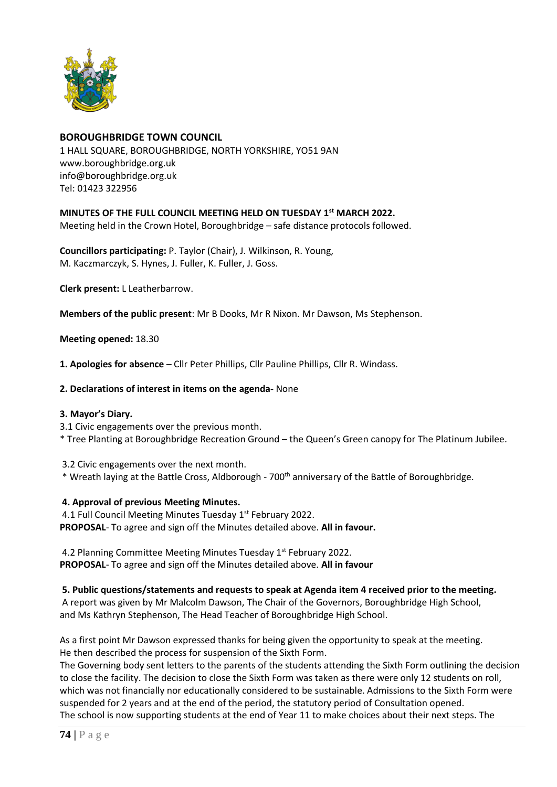

# **BOROUGHBRIDGE TOWN COUNCIL**

1 HALL SQUARE, BOROUGHBRIDGE, NORTH YORKSHIRE, YO51 9AN [www.boroughbridge.org.uk](http://www.boroughbridge.org.uk/) [info@boroughbridge.org.uk](mailto:info@boroughbridge.org.uk) Tel: 01423 322956

## **MINUTES OF THE FULL COUNCIL MEETING HELD ON TUESDAY 1st MARCH 2022.**

Meeting held in the Crown Hotel, Boroughbridge – safe distance protocols followed.

**Councillors participating:** P. Taylor (Chair), J. Wilkinson, R. Young, M. Kaczmarczyk, S. Hynes, J. Fuller, K. Fuller, J. Goss.

**Clerk present:** L Leatherbarrow.

**Members of the public present**: Mr B Dooks, Mr R Nixon. Mr Dawson, Ms Stephenson.

**Meeting opened:** 18.30

**1. Apologies for absence** – Cllr Peter Phillips, Cllr Pauline Phillips, Cllr R. Windass.

### **2. Declarations of interest in items on the agenda-** None

#### **3. Mayor's Diary.**

3.1 Civic engagements over the previous month.

\* Tree Planting at Boroughbridge Recreation Ground – the Queen's Green canopy for The Platinum Jubilee.

3.2 Civic engagements over the next month.

\* Wreath laying at the Battle Cross, Aldborough - 700th anniversary of the Battle of Boroughbridge.

## **4. Approval of previous Meeting Minutes.**

4.1 Full Council Meeting Minutes Tuesday 1<sup>st</sup> February 2022. **PROPOSAL**- To agree and sign off the Minutes detailed above. **All in favour.**

4.2 Planning Committee Meeting Minutes Tuesday 1st February 2022. **PROPOSAL**- To agree and sign off the Minutes detailed above. **All in favour**

**5. Public questions/statements and requests to speak at Agenda item 4 received prior to the meeting.**

A report was given by Mr Malcolm Dawson, The Chair of the Governors, Boroughbridge High School, and Ms Kathryn Stephenson, The Head Teacher of Boroughbridge High School.

As a first point Mr Dawson expressed thanks for being given the opportunity to speak at the meeting. He then described the process for suspension of the Sixth Form.

The Governing body sent letters to the parents of the students attending the Sixth Form outlining the decision to close the facility. The decision to close the Sixth Form was taken as there were only 12 students on roll, which was not financially nor educationally considered to be sustainable. Admissions to the Sixth Form were suspended for 2 years and at the end of the period, the statutory period of Consultation opened. The school is now supporting students at the end of Year 11 to make choices about their next steps. The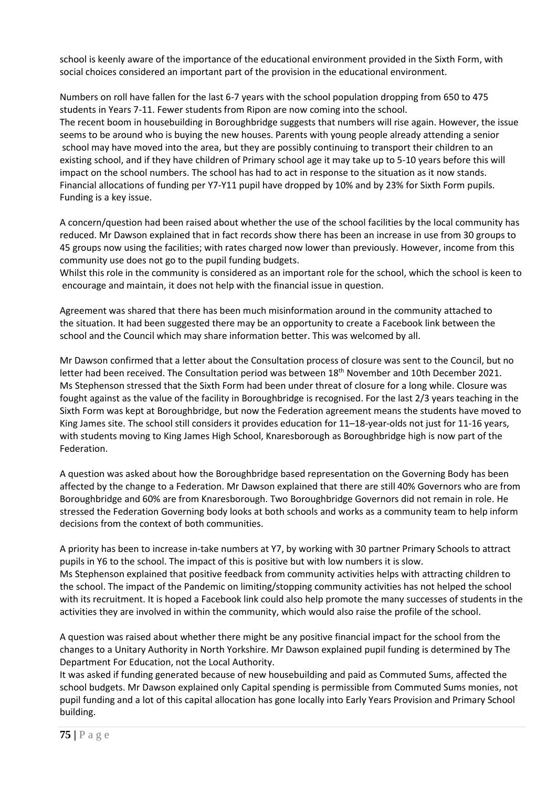school is keenly aware of the importance of the educational environment provided in the Sixth Form, with social choices considered an important part of the provision in the educational environment.

Numbers on roll have fallen for the last 6-7 years with the school population dropping from 650 to 475 students in Years 7-11. Fewer students from Ripon are now coming into the school. The recent boom in housebuilding in Boroughbridge suggests that numbers will rise again. However, the issue seems to be around who is buying the new houses. Parents with young people already attending a senior school may have moved into the area, but they are possibly continuing to transport their children to an existing school, and if they have children of Primary school age it may take up to 5-10 years before this will impact on the school numbers. The school has had to act in response to the situation as it now stands. Financial allocations of funding per Y7-Y11 pupil have dropped by 10% and by 23% for Sixth Form pupils. Funding is a key issue.

A concern/question had been raised about whether the use of the school facilities by the local community has reduced. Mr Dawson explained that in fact records show there has been an increase in use from 30 groups to 45 groups now using the facilities; with rates charged now lower than previously. However, income from this community use does not go to the pupil funding budgets.

Whilst this role in the community is considered as an important role for the school, which the school is keen to encourage and maintain, it does not help with the financial issue in question.

Agreement was shared that there has been much misinformation around in the community attached to the situation. It had been suggested there may be an opportunity to create a Facebook link between the school and the Council which may share information better. This was welcomed by all.

Mr Dawson confirmed that a letter about the Consultation process of closure was sent to the Council, but no letter had been received. The Consultation period was between 18<sup>th</sup> November and 10th December 2021. Ms Stephenson stressed that the Sixth Form had been under threat of closure for a long while. Closure was fought against as the value of the facility in Boroughbridge is recognised. For the last 2/3 years teaching in the Sixth Form was kept at Boroughbridge, but now the Federation agreement means the students have moved to King James site. The school still considers it provides education for 11–18-year-olds not just for 11-16 years, with students moving to King James High School, Knaresborough as Boroughbridge high is now part of the Federation.

A question was asked about how the Boroughbridge based representation on the Governing Body has been affected by the change to a Federation. Mr Dawson explained that there are still 40% Governors who are from Boroughbridge and 60% are from Knaresborough. Two Boroughbridge Governors did not remain in role. He stressed the Federation Governing body looks at both schools and works as a community team to help inform decisions from the context of both communities.

A priority has been to increase in-take numbers at Y7, by working with 30 partner Primary Schools to attract pupils in Y6 to the school. The impact of this is positive but with low numbers it is slow. Ms Stephenson explained that positive feedback from community activities helps with attracting children to the school. The impact of the Pandemic on limiting/stopping community activities has not helped the school with its recruitment. It is hoped a Facebook link could also help promote the many successes of students in the activities they are involved in within the community, which would also raise the profile of the school.

A question was raised about whether there might be any positive financial impact for the school from the changes to a Unitary Authority in North Yorkshire. Mr Dawson explained pupil funding is determined by The Department For Education, not the Local Authority.

It was asked if funding generated because of new housebuilding and paid as Commuted Sums, affected the school budgets. Mr Dawson explained only Capital spending is permissible from Commuted Sums monies, not pupil funding and a lot of this capital allocation has gone locally into Early Years Provision and Primary School building.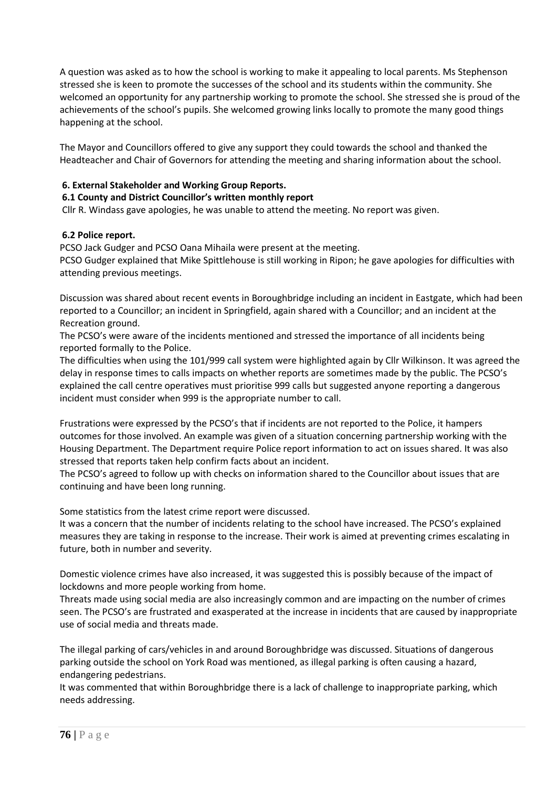A question was asked as to how the school is working to make it appealing to local parents. Ms Stephenson stressed she is keen to promote the successes of the school and its students within the community. She welcomed an opportunity for any partnership working to promote the school. She stressed she is proud of the achievements of the school's pupils. She welcomed growing links locally to promote the many good things happening at the school.

The Mayor and Councillors offered to give any support they could towards the school and thanked the Headteacher and Chair of Governors for attending the meeting and sharing information about the school.

## **6. External Stakeholder and Working Group Reports.**

### **6.1 County and District Councillor's written monthly report**

Cllr R. Windass gave apologies, he was unable to attend the meeting. No report was given.

### **6.2 Police report.**

PCSO Jack Gudger and PCSO Oana Mihaila were present at the meeting.

PCSO Gudger explained that Mike Spittlehouse is still working in Ripon; he gave apologies for difficulties with attending previous meetings.

Discussion was shared about recent events in Boroughbridge including an incident in Eastgate, which had been reported to a Councillor; an incident in Springfield, again shared with a Councillor; and an incident at the Recreation ground.

The PCSO's were aware of the incidents mentioned and stressed the importance of all incidents being reported formally to the Police.

The difficulties when using the 101/999 call system were highlighted again by Cllr Wilkinson. It was agreed the delay in response times to calls impacts on whether reports are sometimes made by the public. The PCSO's explained the call centre operatives must prioritise 999 calls but suggested anyone reporting a dangerous incident must consider when 999 is the appropriate number to call.

Frustrations were expressed by the PCSO's that if incidents are not reported to the Police, it hampers outcomes for those involved. An example was given of a situation concerning partnership working with the Housing Department. The Department require Police report information to act on issues shared. It was also stressed that reports taken help confirm facts about an incident.

The PCSO's agreed to follow up with checks on information shared to the Councillor about issues that are continuing and have been long running.

Some statistics from the latest crime report were discussed.

It was a concern that the number of incidents relating to the school have increased. The PCSO's explained measures they are taking in response to the increase. Their work is aimed at preventing crimes escalating in future, both in number and severity.

Domestic violence crimes have also increased, it was suggested this is possibly because of the impact of lockdowns and more people working from home.

Threats made using social media are also increasingly common and are impacting on the number of crimes seen. The PCSO's are frustrated and exasperated at the increase in incidents that are caused by inappropriate use of social media and threats made.

The illegal parking of cars/vehicles in and around Boroughbridge was discussed. Situations of dangerous parking outside the school on York Road was mentioned, as illegal parking is often causing a hazard, endangering pedestrians.

It was commented that within Boroughbridge there is a lack of challenge to inappropriate parking, which needs addressing.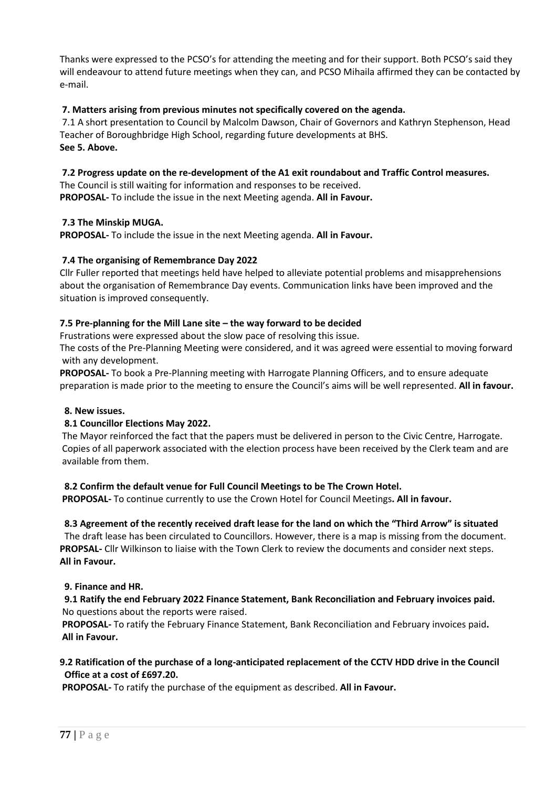Thanks were expressed to the PCSO's for attending the meeting and for their support. Both PCSO's said they will endeavour to attend future meetings when they can, and PCSO Mihaila affirmed they can be contacted by e-mail.

## **7. Matters arising from previous minutes not specifically covered on the agenda.**

7.1 A short presentation to Council by Malcolm Dawson, Chair of Governors and Kathryn Stephenson, Head Teacher of Boroughbridge High School, regarding future developments at BHS. **See 5. Above.**

# **7.2 Progress update on the re-development of the A1 exit roundabout and Traffic Control measures.**

The Council is still waiting for information and responses to be received. **PROPOSAL-** To include the issue in the next Meeting agenda. **All in Favour.**

## **7.3 The Minskip MUGA.**

**PROPOSAL-** To include the issue in the next Meeting agenda. **All in Favour.**

## **7.4 The organising of Remembrance Day 2022**

Cllr Fuller reported that meetings held have helped to alleviate potential problems and misapprehensions about the organisation of Remembrance Day events. Communication links have been improved and the situation is improved consequently.

## **7.5 Pre-planning for the Mill Lane site – the way forward to be decided**

Frustrations were expressed about the slow pace of resolving this issue.

The costs of the Pre-Planning Meeting were considered, and it was agreed were essential to moving forward with any development.

**PROPOSAL-** To book a Pre-Planning meeting with Harrogate Planning Officers, and to ensure adequate preparation is made prior to the meeting to ensure the Council's aims will be well represented. **All in favour.**

## **8. New issues.**

## **8.1 Councillor Elections May 2022.**

The Mayor reinforced the fact that the papers must be delivered in person to the Civic Centre, Harrogate. Copies of all paperwork associated with the election process have been received by the Clerk team and are available from them.

## **8.2 Confirm the default venue for Full Council Meetings to be The Crown Hotel.**

**PROPOSAL-** To continue currently to use the Crown Hotel for Council Meetings**. All in favour.**

## **8.3 Agreement of the recently received draft lease for the land on which the "Third Arrow" is situated**

The draft lease has been circulated to Councillors. However, there is a map is missing from the document. **PROPSAL-** Cllr Wilkinson to liaise with the Town Clerk to review the documents and consider next steps. **All in Favour.**

## **9. Finance and HR.**

# **9.1 Ratify the end February 2022 Finance Statement, Bank Reconciliation and February invoices paid.** No questions about the reports were raised.

**PROPOSAL-** To ratify the February Finance Statement, Bank Reconciliation and February invoices paid**. All in Favour.**

# **9.2 Ratification of the purchase of a long-anticipated replacement of the CCTV HDD drive in the Council Office at a cost of £697.20.**

**PROPOSAL-** To ratify the purchase of the equipment as described. **All in Favour.**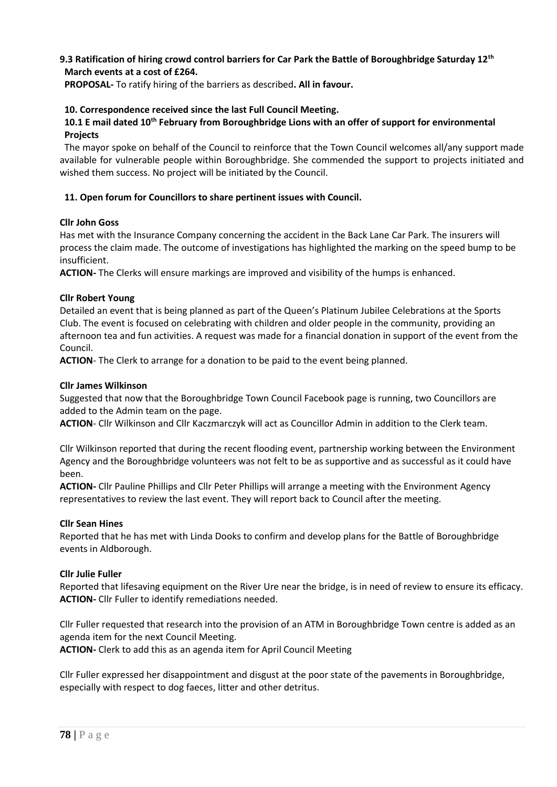## **9.3 Ratification of hiring crowd control barriers for Car Park the Battle of Boroughbridge Saturday 12th March events at a cost of £264.**

 **PROPOSAL-** To ratify hiring of the barriers as described**. All in favour.**

### **10. Correspondence received since the last Full Council Meeting.**

### **10.1 E mail dated 10th February from Boroughbridge Lions with an offer of support for environmental Projects**

The mayor spoke on behalf of the Council to reinforce that the Town Council welcomes all/any support made available for vulnerable people within Boroughbridge. She commended the support to projects initiated and wished them success. No project will be initiated by the Council.

### **11. Open forum for Councillors to share pertinent issues with Council.**

#### **Cllr John Goss**

Has met with the Insurance Company concerning the accident in the Back Lane Car Park. The insurers will process the claim made. The outcome of investigations has highlighted the marking on the speed bump to be insufficient.

**ACTION-** The Clerks will ensure markings are improved and visibility of the humps is enhanced.

### **Cllr Robert Young**

Detailed an event that is being planned as part of the Queen's Platinum Jubilee Celebrations at the Sports Club. The event is focused on celebrating with children and older people in the community, providing an afternoon tea and fun activities. A request was made for a financial donation in support of the event from the Council.

**ACTION**- The Clerk to arrange for a donation to be paid to the event being planned.

### **Cllr James Wilkinson**

Suggested that now that the Boroughbridge Town Council Facebook page is running, two Councillors are added to the Admin team on the page.

**ACTION**- Cllr Wilkinson and Cllr Kaczmarczyk will act as Councillor Admin in addition to the Clerk team.

Cllr Wilkinson reported that during the recent flooding event, partnership working between the Environment Agency and the Boroughbridge volunteers was not felt to be as supportive and as successful as it could have been.

**ACTION-** Cllr Pauline Phillips and Cllr Peter Phillips will arrange a meeting with the Environment Agency representatives to review the last event. They will report back to Council after the meeting.

#### **Cllr Sean Hines**

Reported that he has met with Linda Dooks to confirm and develop plans for the Battle of Boroughbridge events in Aldborough.

#### **Cllr Julie Fuller**

Reported that lifesaving equipment on the River Ure near the bridge, is in need of review to ensure its efficacy. **ACTION-** Cllr Fuller to identify remediations needed.

Cllr Fuller requested that research into the provision of an ATM in Boroughbridge Town centre is added as an agenda item for the next Council Meeting.

**ACTION-** Clerk to add this as an agenda item for April Council Meeting

Cllr Fuller expressed her disappointment and disgust at the poor state of the pavements in Boroughbridge, especially with respect to dog faeces, litter and other detritus.